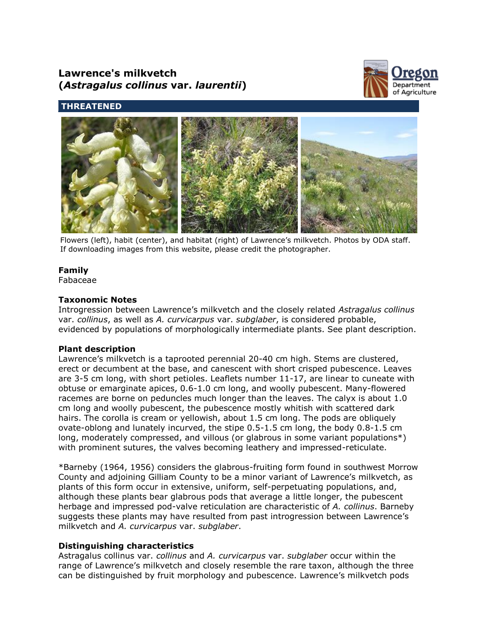# **Lawrence's milkvetch (***Astragalus collinus* **var.** *laurentii***)**



## **THREATENED**



Flowers (left), habit (center), and habitat (right) of Lawrence's milkvetch. Photos by ODA staff. If downloading images from this website, please credit the photographer.

## **Family**

Fabaceae

### **Taxonomic Notes**

Introgression between Lawrence's milkvetch and the closely related *Astragalus collinus* var. *collinus*, as well as *A. curvicarpus* var. *subglaber*, is considered probable, evidenced by populations of morphologically intermediate plants. See plant description.

#### **Plant description**

Lawrence's milkvetch is a taprooted perennial 20-40 cm high. Stems are clustered, erect or decumbent at the base, and canescent with short crisped pubescence. Leaves are 3-5 cm long, with short petioles. Leaflets number 11-17, are linear to cuneate with obtuse or emarginate apices, 0.6-1.0 cm long, and woolly pubescent. Many-flowered racemes are borne on peduncles much longer than the leaves. The calyx is about 1.0 cm long and woolly pubescent, the pubescence mostly whitish with scattered dark hairs. The corolla is cream or yellowish, about 1.5 cm long. The pods are obliquely ovate-oblong and lunately incurved, the stipe 0.5-1.5 cm long, the body 0.8-1.5 cm long, moderately compressed, and villous (or glabrous in some variant populations\*) with prominent sutures, the valves becoming leathery and impressed-reticulate.

\*Barneby (1964, 1956) considers the glabrous-fruiting form found in southwest Morrow County and adjoining Gilliam County to be a minor variant of Lawrence's milkvetch, as plants of this form occur in extensive, uniform, self-perpetuating populations, and, although these plants bear glabrous pods that average a little longer, the pubescent herbage and impressed pod-valve reticulation are characteristic of *A. collinus*. Barneby suggests these plants may have resulted from past introgression between Lawrence's milkvetch and *A. curvicarpus* var. *subglaber*.

## **Distinguishing characteristics**

Astragalus collinus var. *collinus* and *A. curvicarpus* var. *subglaber* occur within the range of Lawrence's milkvetch and closely resemble the rare taxon, although the three can be distinguished by fruit morphology and pubescence. Lawrence's milkvetch pods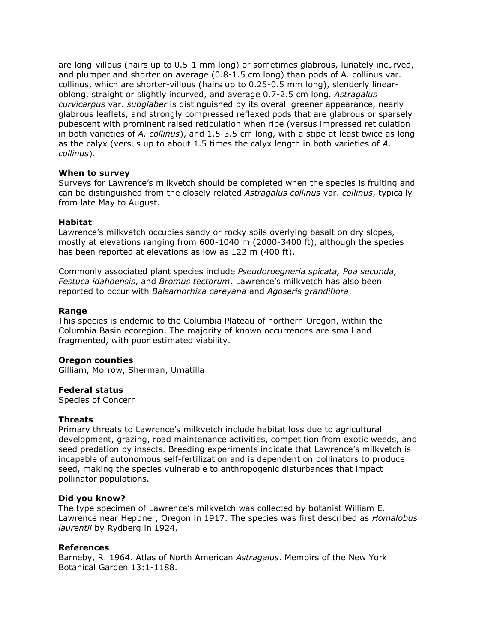are long-villous (hairs up to 0.5-1 mm long) or sometimes glabrous, lunately incurved, and plumper and shorter on average (0.8-1.5 cm long) than pods of A. collinus var. collinus, which are shorter-villous (hairs up to 0.25-0.5 mm long), slenderly linearoblong, straight or slightly incurved, and average 0.7-2.5 cm long. *Astragalus curvicarpus* var. *subglaber* is distinguished by its overall greener appearance, nearly glabrous leaflets, and strongly compressed reflexed pods that are glabrous or sparsely pubescent with prominent raised reticulation when ripe (versus impressed reticulation in both varieties of *A. collinus*), and 1.5-3.5 cm long, with a stipe at least twice as long as the calyx (versus up to about 1.5 times the calyx length in both varieties of *A. collinus*).

#### **When to survey**

Surveys for Lawrence's milkvetch should be completed when the species is fruiting and can be distinguished from the closely related *Astragalus collinus* var. *collinus*, typically from late May to August.

#### **Habitat**

Lawrence's milkvetch occupies sandy or rocky soils overlying basalt on dry slopes, mostly at elevations ranging from 600-1040 m (2000-3400 ft), although the species has been reported at elevations as low as 122 m (400 ft).

Commonly associated plant species include *Pseudoroegneria spicata, Poa secunda, Festuca idahoensis*, and *Bromus tectorum*. Lawrence's milkvetch has also been reported to occur with *Balsamorhiza careyana* and *Agoseris grandiflora*.

#### **Range**

This species is endemic to the Columbia Plateau of northern Oregon, within the Columbia Basin ecoregion. The majority of known occurrences are small and fragmented, with poor estimated viability.

#### **Oregon counties**

Gilliam, Morrow, Sherman, Umatilla

#### **Federal status**

Species of Concern

#### **Threats**

Primary threats to Lawrence's milkvetch include habitat loss due to agricultural development, grazing, road maintenance activities, competition from exotic weeds, and seed predation by insects. Breeding experiments indicate that Lawrence's milkvetch is incapable of autonomous self-fertilization and is dependent on pollinators to produce seed, making the species vulnerable to anthropogenic disturbances that impact pollinator populations.

#### **Did you know?**

The type specimen of Lawrence's milkvetch was collected by botanist William E. Lawrence near Heppner, Oregon in 1917. The species was first described as *Homalobus laurentii* by Rydberg in 1924.

#### **References**

Barneby, R. 1964. Atlas of North American *Astragalus*. Memoirs of the New York Botanical Garden 13:1-1188.